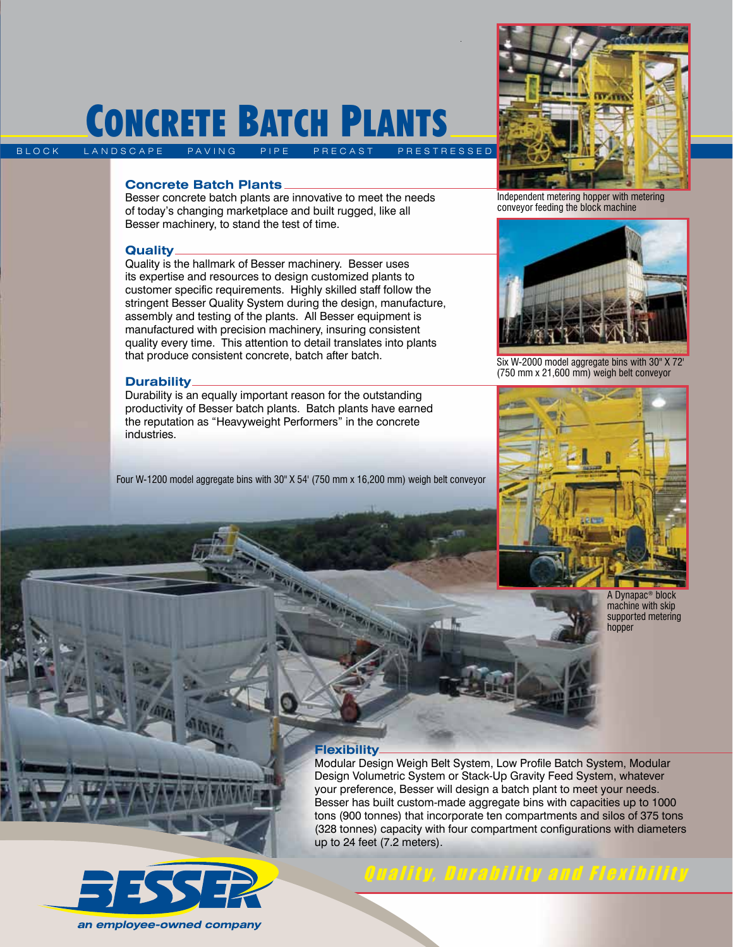# CONCRETE BATCH PLANTS

B LOCK LANDSCAPE PAVING

### **Concrete Batch Plants**

Besser concrete batch plants are innovative to meet the needs of today's changing marketplace and built rugged, like all Besser machinery, to stand the test of time.

### **Quality**

Quality is the hallmark of Besser machinery. Besser uses its expertise and resources to design customized plants to customer specific requirements. Highly skilled staff follow the stringent Besser Quality System during the design, manufacture, assembly and testing of the plants. All Besser equipment is manufactured with precision machinery, insuring consistent quality every time. This attention to detail translates into plants that produce consistent concrete, batch after batch.

### **Durability**

Durability is an equally important reason for the outstanding productivity of Besser batch plants. Batch plants have earned the reputation as "Heavyweight Performers" in the concrete industries.

Four W-1200 model aggregate bins with 30" X 54' (750 mm x 16,200 mm) weigh belt conveyor



Independent metering hopper with metering conveyor feeding the block machine



Six W-2000 model aggregate bins with 30" X 72' (750 mm x 21,600 mm) weigh belt conveyor



A Dynapac® block machine with skip supported metering hopper

### **Flexibility**

Modular Design Weigh Belt System, Low Profile Batch System, Modular Design Volumetric System or Stack-Up Gravity Feed System, whatever your preference, Besser will design a batch plant to meet your needs. Besser has built custom-made aggregate bins with capacities up to 1000 tons (900 tonnes) that incorporate ten compartments and silos of 375 tons (328 tonnes) capacity with four compartment configurations with diameters up to 24 feet (7.2 meters).



Quality, Durability and Flexibility

an employee-owned company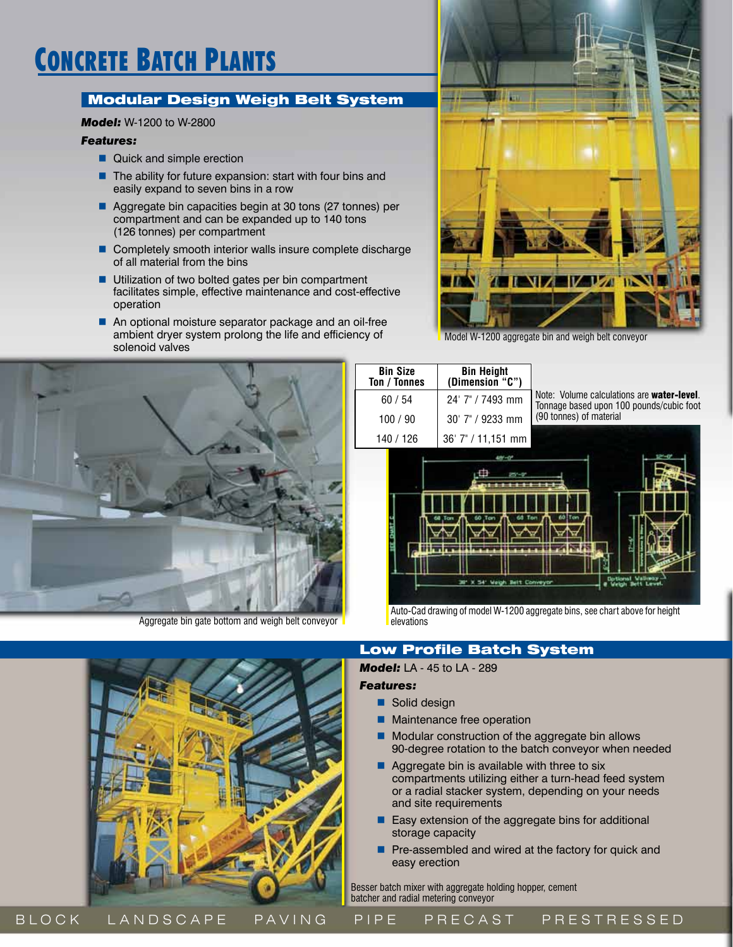# Concrete Batch Plants

# Modular Design Weigh Belt System

### *Model:* W-1200 to W-2800

### *Features:*

- Quick and simple erection
- $\blacksquare$  The ability for future expansion: start with four bins and easily expand to seven bins in a row
- Aggregate bin capacities begin at 30 tons (27 tonnes) per compartment and can be expanded up to 140 tons (126 tonnes) per compartment
- Completely smooth interior walls insure complete discharge of all material from the bins
- Utilization of two bolted gates per bin compartment facilitates simple, effective maintenance and cost-effective operation
- An optional moisture separator package and an oil-free ambient dryer system prolong the life and efficiency of solenoid valves



Aggregate bin gate bottom and weigh belt conveyor



Model W-1200 aggregate bin and weigh belt conveyor

| <b>Bin Size</b><br>Ton / Tonnes | <b>Bin Height</b><br>(Dimension "C") |                                                                                        |
|---------------------------------|--------------------------------------|----------------------------------------------------------------------------------------|
| 60/54                           | 24' 7" / 7493 mm                     | Note: Volume calculations are water-level.<br>Tonnage based upon 100 pounds/cubic foot |
| 100/90                          | 30' 7" / 9233 mm                     | (90 tonnes) of material                                                                |
| 140 / 126                       | 36' 7" / 11,151 mm                   |                                                                                        |
|                                 |                                      |                                                                                        |



Auto-Cad drawing of model W-1200 aggregate bins, see chart above for height elevations

### Low Profile Batch System

### *Model:* LA - 45 to LA - 289

#### *Features:*

- Solid design
- **Maintenance free operation**
- Modular construction of the aggregate bin allows 90-degree rotation to the batch conveyor when needed
- Aggregate bin is available with three to six compartments utilizing either a turn-head feed system or a radial stacker system, depending on your needs and site requirements
- Easy extension of the aggregate bins for additional storage capacity
- **Pre-assembled and wired at the factory for quick and** easy erection

Besser batch mixer with aggregate holding hopper, cement batcher and radial metering conveyor

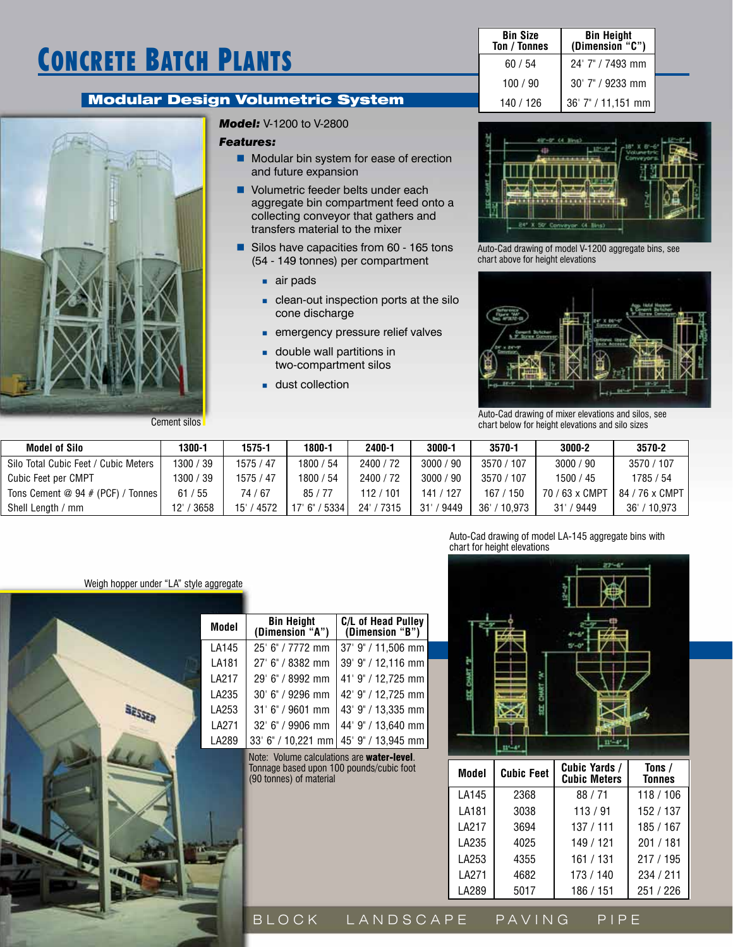# Concrete Batch Plants

### Modular Design Volumetric System



*Model:* V-1200 to V-2800

#### *Features:*

- **Modular bin system for ease of erection** and future expansion
- **Volumetric feeder belts under each** aggregate bin compartment feed onto a collecting conveyor that gathers and transfers material to the mixer
- Silos have capacities from 60 165 tons (54 - 149 tonnes) per compartment
	- air pads
	- **clean-out inspection ports at the silo** cone discharge
	- **emergency pressure relief valves**
	- **double wall partitions in** two-compartment silos
	- **dust collection**

| <b>Bin Size</b><br>Ton / Tonnes | <b>Bin Height</b><br>(Dimension "C") |  |
|---------------------------------|--------------------------------------|--|
| 60/54                           | 24' 7" / 7493 mm                     |  |
| 100/90                          | $30'$ 7" / 9233 mm                   |  |
| 140 / 126                       | 36' 7" / 11,151 mm                   |  |



Auto-Cad drawing of model V-1200 aggregate bins, see chart above for height elevations



Auto-Cad drawing of mixer elevations and silos, see chart below for height elevations and silo sizes

| <b>Model of Silo</b>                 | 1300-1   | $1575 - 1$        | 1800-1      | 2400-1     | 3000-1     | 3570-1        | 3000-2              | 3570-2            |
|--------------------------------------|----------|-------------------|-------------|------------|------------|---------------|---------------------|-------------------|
| Silo Total Cubic Feet / Cubic Meters | 300 / 39 | 1575 / 47         | 1800 / 54   | 2400 / 72  | 3000 / 90  | 3570 / 107    | 3000 / 90           | 3570 / 107        |
| Cubic Feet per CMPT                  | 300 / 39 | 1575 / 47         | 1800 / 54   | 2400 / 72  | 3000 / 90  | 3570 / 107    | 1500 / 45           | 1785 / 54         |
| Tons Cement @ 94 # (PCF) / Tonnes    | 61/55    | 74 / 67           | 85/77       | 112/101    | 141 / 127  | 167 / 150     | / 63 x CMPT<br>70 / | 84 / 76 x CMPT    |
| Shell Length / mm                    | 3658     | ' 4572<br>$15'$ / | 5334<br>.6" | 24' / 7315 | 9449<br>31 | 36'<br>10.973 | / 9449<br>31'       | $'$ 10.973<br>36' |

#### Weigh hopper under "LA" style aggregate



| Model | <b>Bin Height</b><br>(Dimension "A") | C/L of Head Pulley<br>(Dimension "B") |
|-------|--------------------------------------|---------------------------------------|
| LA145 | 25' 6" / 7772 mm                     | 37' 9" / 11,506 mm                    |
| LA181 | 27' 6" / 8382 mm                     | 39' 9" / 12,116 mm                    |
| LA217 | 29' 6" / 8992 mm                     | 41' 9" / 12,725 mm                    |
| LA235 | 30' 6" / 9296 mm                     | 42' 9" / 12,725 mm                    |
| LA253 | 31' 6" / 9601 mm                     | 43' 9" / 13,335 mm                    |
| LA271 | 32' 6" / 9906 mm                     | 44' 9" / 13,640 mm                    |
| LA289 |                                      | 33' 6" / 10,221 mm 45' 9" / 13,945 mm |
|       |                                      |                                       |

Note: Volume calculations are water-level. Tonnage based upon 100 pounds/cubic foot (90 tonnes) of material

Auto-Cad drawing of model LA-145 aggregate bins with chart for height elevations



| Model | <b>Cubic Feet</b> | Cubic Yards /<br><b>Cubic Meters</b> | Tons /<br><b>Tonnes</b> |
|-------|-------------------|--------------------------------------|-------------------------|
| LA145 | 2368              | 88 / 71                              | 118 / 106               |
| LA181 | 3038              | 113/91                               | 152 / 137               |
| LA217 | 3694              | 137 / 111                            | 185 / 167               |
| LA235 | 4025              | 149 / 121                            | 201/181                 |
| LA253 | 4355              | 161 / 131                            | 217/195                 |
| LA271 | 4682              | 173 / 140                            | 234 / 211               |
| LA289 | 5017              | 186 / 151                            | 251 / 226               |

B LOCK LANDSCAPE PAVING PIPE